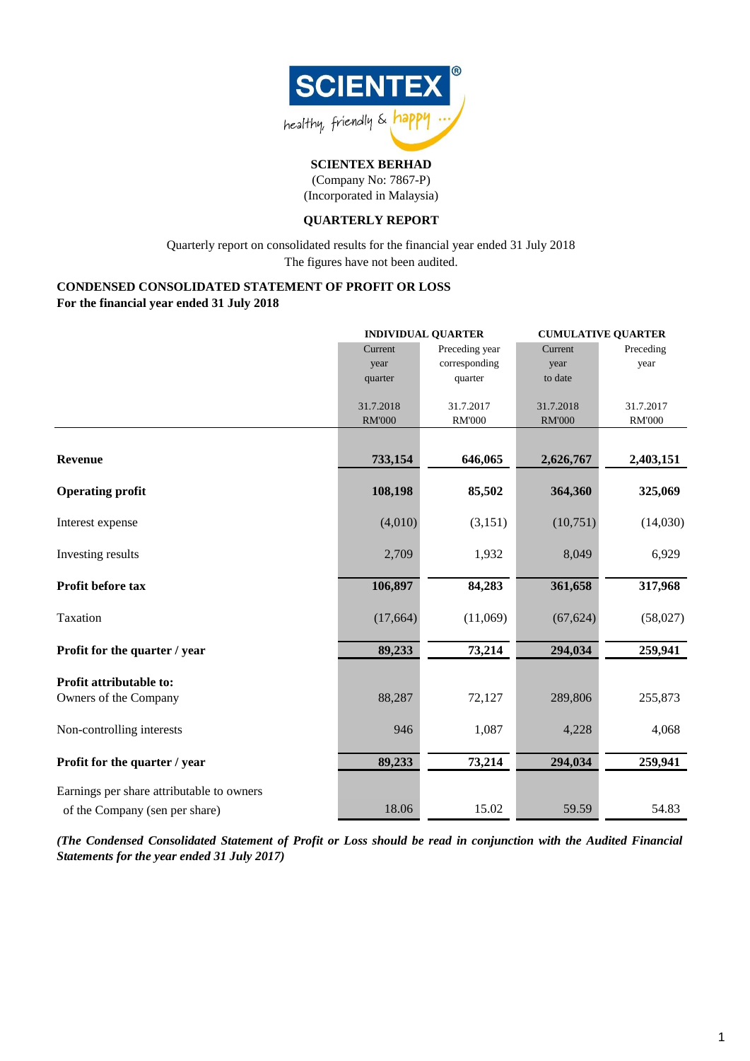

(Company No: 7867-P) (Incorporated in Malaysia)

### **QUARTERLY REPORT**

Quarterly report on consolidated results for the financial year ended 31 July 2018 The figures have not been audited.

#### **CONDENSED CONSOLIDATED STATEMENT OF PROFIT OR LOSS For the financial year ended 31 July 2018**

|                                           |               | <b>INDIVIDUAL QUARTER</b> | <b>CUMULATIVE QUARTER</b> |               |  |
|-------------------------------------------|---------------|---------------------------|---------------------------|---------------|--|
|                                           | Current       | Preceding year            | Current                   | Preceding     |  |
|                                           | year          | corresponding             | year                      | year          |  |
|                                           | quarter       | quarter                   | to date                   |               |  |
|                                           | 31.7.2018     | 31.7.2017                 | 31.7.2018                 | 31.7.2017     |  |
|                                           | <b>RM'000</b> | <b>RM'000</b>             | <b>RM'000</b>             | <b>RM'000</b> |  |
|                                           |               |                           |                           |               |  |
| Revenue                                   | 733,154       | 646,065                   | 2,626,767                 | 2,403,151     |  |
| <b>Operating profit</b>                   | 108,198       | 85,502                    | 364,360                   | 325,069       |  |
| Interest expense                          | (4,010)       | (3,151)                   | (10,751)                  | (14,030)      |  |
| Investing results                         | 2,709         | 1,932                     | 8,049                     | 6,929         |  |
| Profit before tax                         | 106,897       | 84,283                    | 361,658                   | 317,968       |  |
| Taxation                                  | (17,664)      | (11,069)                  | (67, 624)                 | (58,027)      |  |
| Profit for the quarter / year             | 89,233        | 73,214                    | 294,034                   | 259,941       |  |
| Profit attributable to:                   |               |                           |                           |               |  |
| Owners of the Company                     | 88,287        | 72,127                    | 289,806                   | 255,873       |  |
| Non-controlling interests                 | 946           | 1,087                     | 4,228                     | 4,068         |  |
| Profit for the quarter / year             | 89,233        | 73,214                    | 294,034                   | 259,941       |  |
| Earnings per share attributable to owners |               |                           |                           |               |  |
| of the Company (sen per share)            | 18.06         | 15.02                     | 59.59                     | 54.83         |  |

(The Condensed Consolidated Statement of Profit or Loss should be read in conjunction with the Audited Financial *Statements for the year ended 31 July 2017)*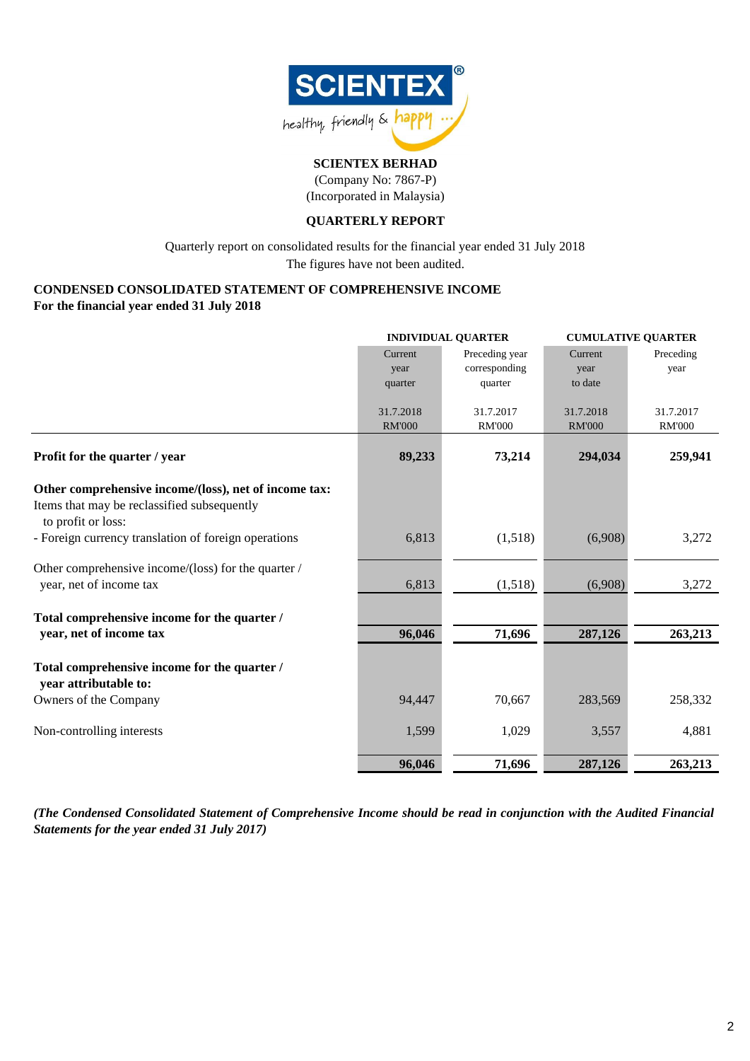

(Company No: 7867-P) (Incorporated in Malaysia)

### **QUARTERLY REPORT**

The figures have not been audited. Quarterly report on consolidated results for the financial year ended 31 July 2018

### **CONDENSED CONSOLIDATED STATEMENT OF COMPREHENSIVE INCOME For the financial year ended 31 July 2018**

|                                                                       |               | <b>INDIVIDUAL QUARTER</b> | <b>CUMULATIVE QUARTER</b> |               |  |
|-----------------------------------------------------------------------|---------------|---------------------------|---------------------------|---------------|--|
|                                                                       | Current       | Preceding year            | Current                   | Preceding     |  |
|                                                                       | year          | corresponding             | year                      | year          |  |
|                                                                       | quarter       | quarter                   | to date                   |               |  |
|                                                                       |               |                           |                           |               |  |
|                                                                       | 31.7.2018     | 31.7.2017                 | 31.7.2018                 | 31.7.2017     |  |
|                                                                       | <b>RM'000</b> | <b>RM'000</b>             | <b>RM'000</b>             | <b>RM'000</b> |  |
| Profit for the quarter / year                                         | 89,233        | 73,214                    | 294,034                   | 259,941       |  |
| Other comprehensive income/(loss), net of income tax:                 |               |                           |                           |               |  |
| Items that may be reclassified subsequently<br>to profit or loss:     |               |                           |                           |               |  |
| - Foreign currency translation of foreign operations                  | 6,813         | (1,518)                   | (6,908)                   | 3,272         |  |
| Other comprehensive income/(loss) for the quarter /                   |               |                           |                           |               |  |
| year, net of income tax                                               | 6,813         | (1,518)                   | (6,908)                   | 3,272         |  |
| Total comprehensive income for the quarter /                          |               |                           |                           |               |  |
| year, net of income tax                                               | 96,046        | 71,696                    | 287,126                   | 263,213       |  |
| Total comprehensive income for the quarter /<br>year attributable to: |               |                           |                           |               |  |
| Owners of the Company                                                 | 94,447        | 70,667                    | 283,569                   | 258,332       |  |
| Non-controlling interests                                             | 1,599         | 1,029                     | 3,557                     | 4,881         |  |
|                                                                       | 96,046        | 71,696                    | 287,126                   | 263,213       |  |

(The Condensed Consolidated Statement of Comprehensive Income should be read in conjunction with the Audited Financial *Statements for the year ended 31 July 2017)*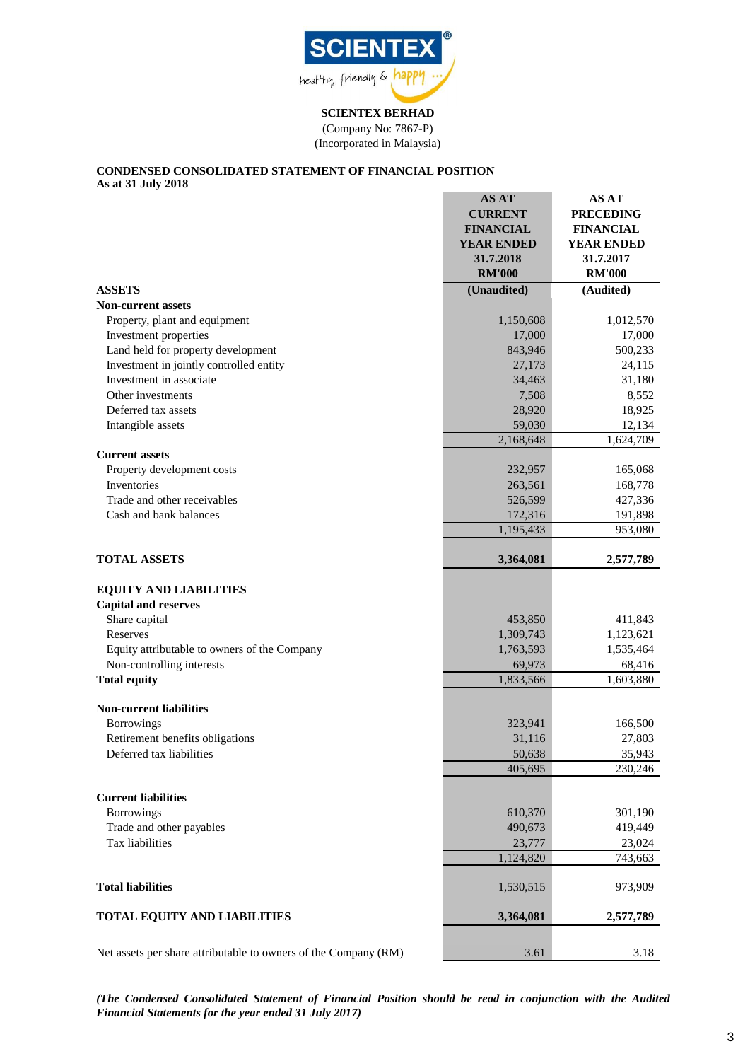

**SCIENTEX BERHAD** (Company No: 7867-P) (Incorporated in Malaysia)

#### **CONDENSED CONSOLIDATED STATEMENT OF FINANCIAL POSITION As at 31 July 2018**

|                                                                 | <b>AS AT</b><br><b>CURRENT</b><br><b>FINANCIAL</b><br><b>YEAR ENDED</b><br>31.7.2018<br><b>RM'000</b> | AS AT<br><b>PRECEDING</b><br><b>FINANCIAL</b><br><b>YEAR ENDED</b><br>31.7.2017<br><b>RM'000</b> |
|-----------------------------------------------------------------|-------------------------------------------------------------------------------------------------------|--------------------------------------------------------------------------------------------------|
| <b>ASSETS</b>                                                   | (Unaudited)                                                                                           | (Audited)                                                                                        |
| <b>Non-current assets</b>                                       |                                                                                                       |                                                                                                  |
| Property, plant and equipment                                   | 1,150,608                                                                                             | 1,012,570                                                                                        |
| Investment properties                                           | 17,000                                                                                                | 17,000                                                                                           |
| Land held for property development                              | 843,946                                                                                               | 500,233                                                                                          |
| Investment in jointly controlled entity                         | 27,173                                                                                                | 24,115                                                                                           |
| Investment in associate                                         | 34,463                                                                                                | 31,180                                                                                           |
| Other investments                                               | 7,508                                                                                                 | 8,552                                                                                            |
| Deferred tax assets                                             | 28,920                                                                                                | 18,925                                                                                           |
| Intangible assets                                               | 59,030                                                                                                | 12,134                                                                                           |
|                                                                 | 2,168,648                                                                                             | 1,624,709                                                                                        |
| <b>Current assets</b>                                           |                                                                                                       |                                                                                                  |
| Property development costs                                      | 232,957                                                                                               | 165,068                                                                                          |
| Inventories                                                     | 263,561                                                                                               | 168,778                                                                                          |
| Trade and other receivables                                     | 526,599                                                                                               | 427,336                                                                                          |
| Cash and bank balances                                          | 172,316                                                                                               | 191,898                                                                                          |
|                                                                 | 1,195,433                                                                                             | 953,080                                                                                          |
| <b>TOTAL ASSETS</b>                                             | 3,364,081                                                                                             | 2,577,789                                                                                        |
| <b>EQUITY AND LIABILITIES</b>                                   |                                                                                                       |                                                                                                  |
| <b>Capital and reserves</b>                                     |                                                                                                       |                                                                                                  |
| Share capital                                                   | 453,850                                                                                               | 411,843                                                                                          |
| Reserves                                                        | 1,309,743                                                                                             | 1,123,621                                                                                        |
| Equity attributable to owners of the Company                    | 1,763,593                                                                                             | 1,535,464                                                                                        |
| Non-controlling interests                                       | 69,973                                                                                                | 68,416                                                                                           |
| <b>Total equity</b>                                             | 1,833,566                                                                                             | 1,603,880                                                                                        |
| <b>Non-current liabilities</b>                                  |                                                                                                       |                                                                                                  |
| <b>Borrowings</b>                                               | 323,941                                                                                               | 166,500                                                                                          |
| Retirement benefits obligations                                 | 31,116                                                                                                | 27,803                                                                                           |
| Deferred tax liabilities                                        | 50,638                                                                                                | 35,943                                                                                           |
|                                                                 | 405,695                                                                                               | 230,246                                                                                          |
| <b>Current liabilities</b>                                      |                                                                                                       |                                                                                                  |
| <b>Borrowings</b>                                               | 610,370                                                                                               | 301,190                                                                                          |
| Trade and other payables                                        | 490,673                                                                                               | 419,449                                                                                          |
| Tax liabilities                                                 | 23,777                                                                                                | 23,024                                                                                           |
|                                                                 | 1,124,820                                                                                             | 743,663                                                                                          |
|                                                                 |                                                                                                       |                                                                                                  |
| <b>Total liabilities</b>                                        | 1,530,515                                                                                             | 973,909                                                                                          |
| <b>TOTAL EQUITY AND LIABILITIES</b>                             | 3,364,081                                                                                             | 2,577,789                                                                                        |
| Net assets per share attributable to owners of the Company (RM) | 3.61                                                                                                  | 3.18                                                                                             |

*(The Condensed Consolidated Statement of Financial Position should be read in conjunction with the Audited Financial Statements for the year ended 31 July 2017)*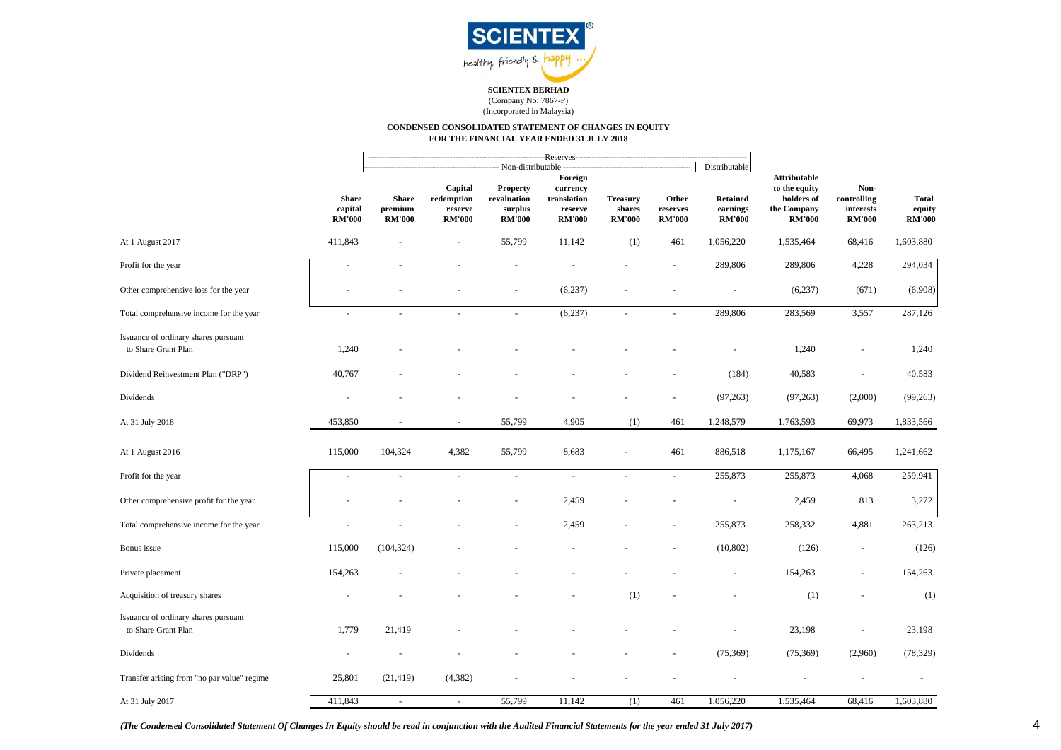

#### (Company No: 7867-P) (Incorporated in Malaysia)

#### **CONDENSED CONSOLIDATED STATEMENT OF CHANGES IN EQUITY FOR THE FINANCIAL YEAR ENDED 31 JULY 2018**

|                                                             |                                          | --Reserves----------<br>- Non-distributable       |                                                            |                                                                |                                            |                                    |                                                               |                                                                                    |                                                   |                                         |           |
|-------------------------------------------------------------|------------------------------------------|---------------------------------------------------|------------------------------------------------------------|----------------------------------------------------------------|--------------------------------------------|------------------------------------|---------------------------------------------------------------|------------------------------------------------------------------------------------|---------------------------------------------------|-----------------------------------------|-----------|
| <b>Share</b><br>capital<br><b>RM'000</b>                    | <b>Share</b><br>premium<br><b>RM'000</b> | Capital<br>redemption<br>reserve<br><b>RM'000</b> | <b>Property</b><br>revaluation<br>surplus<br><b>RM'000</b> | Foreign<br>currency<br>translation<br>reserve<br><b>RM'000</b> | <b>Treasury</b><br>shares<br><b>RM'000</b> | Other<br>reserves<br><b>RM'000</b> | Distributable<br><b>Retained</b><br>earnings<br><b>RM'000</b> | <b>Attributable</b><br>to the equity<br>holders of<br>the Company<br><b>RM'000</b> | Non-<br>controlling<br>interests<br><b>RM'000</b> | <b>Total</b><br>equity<br><b>RM'000</b> |           |
| At 1 August 2017                                            | 411,843                                  |                                                   |                                                            | 55,799                                                         | 11,142                                     | (1)                                | 461                                                           | 1,056,220                                                                          | 1,535,464                                         | 68,416                                  | 1,603,880 |
| Profit for the year                                         | $\sim$                                   | $\overline{a}$                                    |                                                            | $\sim$                                                         | $\sim$                                     | $\overline{\phantom{a}}$           | $\sim$                                                        | 289,806                                                                            | 289,806                                           | 4,228                                   | 294,034   |
| Other comprehensive loss for the year                       |                                          |                                                   |                                                            |                                                                | (6,237)                                    |                                    |                                                               |                                                                                    | (6,237)                                           | (671)                                   | (6,908)   |
| Total comprehensive income for the year                     | ÷.                                       |                                                   |                                                            | $\sim$                                                         | (6,237)                                    | $\sim$                             | ÷                                                             | 289,806                                                                            | 283,569                                           | 3,557                                   | 287,126   |
| Issuance of ordinary shares pursuant<br>to Share Grant Plan | 1,240                                    |                                                   |                                                            |                                                                |                                            |                                    |                                                               |                                                                                    | 1,240                                             |                                         | 1,240     |
| Dividend Reinvestment Plan ("DRP")                          | 40,767                                   |                                                   |                                                            |                                                                |                                            |                                    |                                                               | (184)                                                                              | 40,583                                            | $\bar{a}$                               | 40,583    |
| Dividends                                                   |                                          |                                                   |                                                            |                                                                |                                            |                                    |                                                               | (97, 263)                                                                          | (97, 263)                                         | (2,000)                                 | (99, 263) |
| At 31 July 2018                                             | 453,850                                  | $\sim$                                            | $\blacksquare$                                             | 55,799                                                         | 4,905                                      | (1)                                | 461                                                           | 1,248,579                                                                          | 1,763,593                                         | 69,973                                  | 1,833,566 |
| At 1 August 2016                                            | 115,000                                  | 104,324                                           | 4,382                                                      | 55,799                                                         | 8,683                                      |                                    | 461                                                           | 886,518                                                                            | 1,175,167                                         | 66,495                                  | 1,241,662 |
| Profit for the year                                         | $\blacksquare$                           | $\bar{\phantom{a}}$                               | $\mathbf{r}$                                               | $\omega$                                                       | $\omega$                                   | $\omega$                           | $\blacksquare$                                                | 255,873                                                                            | 255,873                                           | 4,068                                   | 259,941   |
| Other comprehensive profit for the year                     |                                          |                                                   |                                                            | $\sim$                                                         | 2,459                                      |                                    |                                                               | $\bar{a}$                                                                          | 2,459                                             | 813                                     | 3,272     |
| Total comprehensive income for the year                     | $\sim$                                   | $\bar{a}$                                         |                                                            | $\sim$                                                         | 2,459                                      | $\sim$                             | L.                                                            | 255,873                                                                            | 258,332                                           | 4,881                                   | 263,213   |
| Bonus issue                                                 | 115,000                                  | (104, 324)                                        |                                                            |                                                                |                                            |                                    |                                                               | (10, 802)                                                                          | (126)                                             | $\blacksquare$                          | (126)     |
| Private placement                                           | 154,263                                  |                                                   |                                                            |                                                                |                                            |                                    |                                                               | $\blacksquare$                                                                     | 154,263                                           | $\overline{\phantom{a}}$                | 154,263   |
| Acquisition of treasury shares                              |                                          |                                                   |                                                            |                                                                |                                            | (1)                                |                                                               |                                                                                    | (1)                                               |                                         | (1)       |
| Issuance of ordinary shares pursuant<br>to Share Grant Plan | 1,779                                    | 21,419                                            |                                                            |                                                                |                                            |                                    |                                                               |                                                                                    | 23,198                                            |                                         | 23,198    |
| Dividends                                                   |                                          |                                                   |                                                            |                                                                |                                            |                                    |                                                               | (75, 369)                                                                          | (75,369)                                          | (2,960)                                 | (78, 329) |
| Transfer arising from "no par value" regime                 | 25,801                                   | (21, 419)                                         | (4,382)                                                    |                                                                |                                            |                                    |                                                               |                                                                                    |                                                   |                                         |           |
| At 31 July 2017                                             | 411,843                                  | $\sim$                                            | $\omega$                                                   | 55,799                                                         | 11,142                                     | (1)                                | 461                                                           | 1,056,220                                                                          | 1,535,464                                         | 68,416                                  | 1,603,880 |

*(The Condensed Consolidated Statement Of Changes In Equity should be read in conjunction with the Audited Financial Statements for the year ended 31 July 2017)*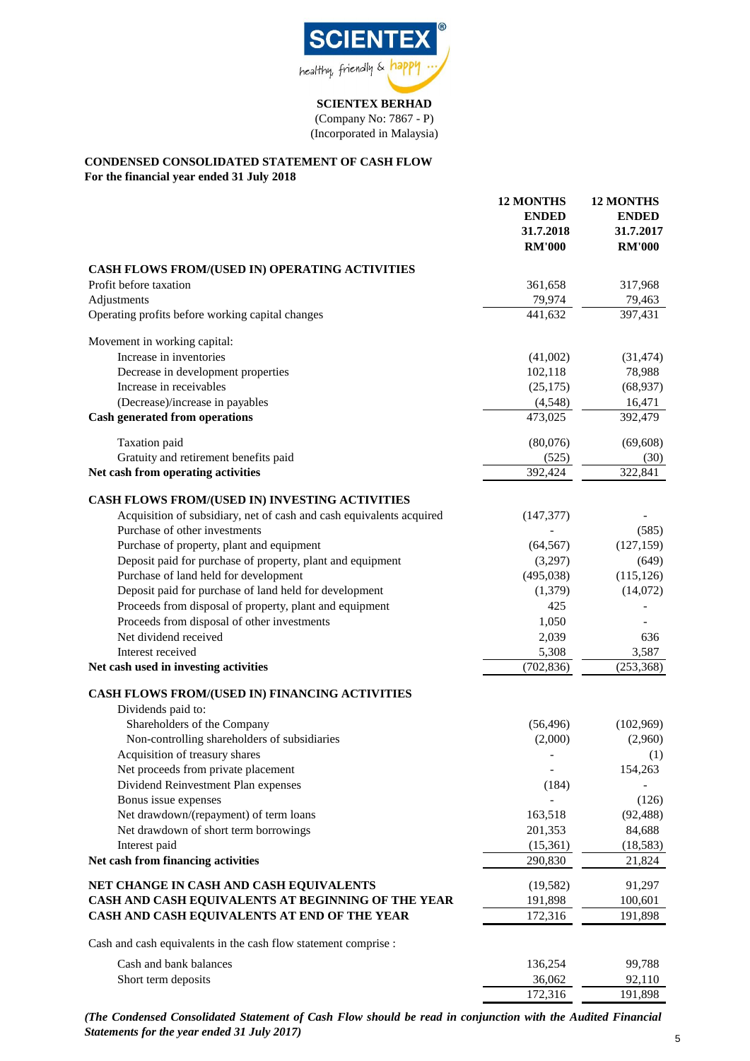

(Company No: 7867 - P) (Incorporated in Malaysia)

# **CONDENSED CONSOLIDATED STATEMENT OF CASH FLOW**

**For the financial year ended 31 July 2018**

|                                                                      | <b>12 MONTHS</b><br><b>ENDED</b><br>31.7.2018<br><b>RM'000</b> | <b>12 MONTHS</b><br><b>ENDED</b><br>31.7.2017<br><b>RM'000</b> |
|----------------------------------------------------------------------|----------------------------------------------------------------|----------------------------------------------------------------|
| CASH FLOWS FROM/(USED IN) OPERATING ACTIVITIES                       |                                                                |                                                                |
| Profit before taxation                                               | 361,658                                                        | 317,968                                                        |
| Adjustments                                                          | 79,974                                                         | 79,463                                                         |
| Operating profits before working capital changes                     | 441,632                                                        | 397,431                                                        |
| Movement in working capital:                                         |                                                                |                                                                |
| Increase in inventories                                              | (41,002)                                                       | (31, 474)                                                      |
| Decrease in development properties                                   | 102,118                                                        | 78,988                                                         |
| Increase in receivables                                              | (25, 175)                                                      | (68, 937)                                                      |
| (Decrease)/increase in payables                                      | (4,548)                                                        | 16,471                                                         |
| <b>Cash generated from operations</b>                                | 473,025                                                        | 392,479                                                        |
| Taxation paid                                                        | (80,076)                                                       | (69, 608)                                                      |
| Gratuity and retirement benefits paid                                | (525)                                                          | (30)                                                           |
| Net cash from operating activities                                   | 392,424                                                        | 322,841                                                        |
| CASH FLOWS FROM/(USED IN) INVESTING ACTIVITIES                       |                                                                |                                                                |
| Acquisition of subsidiary, net of cash and cash equivalents acquired | (147, 377)                                                     |                                                                |
| Purchase of other investments                                        |                                                                | (585)                                                          |
| Purchase of property, plant and equipment                            | (64, 567)                                                      | (127, 159)                                                     |
| Deposit paid for purchase of property, plant and equipment           | (3,297)                                                        | (649)                                                          |
| Purchase of land held for development                                | (495, 038)                                                     | (115, 126)                                                     |
| Deposit paid for purchase of land held for development               | (1,379)                                                        | (14,072)                                                       |
| Proceeds from disposal of property, plant and equipment              | 425                                                            |                                                                |
| Proceeds from disposal of other investments                          | 1,050                                                          |                                                                |
| Net dividend received                                                | 2,039                                                          | 636                                                            |
| Interest received                                                    | 5,308                                                          | 3,587                                                          |
| Net cash used in investing activities                                | (702, 836)                                                     | (253, 368)                                                     |
| CASH FLOWS FROM/(USED IN) FINANCING ACTIVITIES                       |                                                                |                                                                |
| Dividends paid to:                                                   |                                                                |                                                                |
| Shareholders of the Company                                          | (56, 496)                                                      | (102,969)                                                      |
| Non-controlling shareholders of subsidiaries                         | (2,000)                                                        | (2,960)                                                        |
| Acquisition of treasury shares                                       |                                                                | (1)                                                            |
| Net proceeds from private placement                                  | $\overline{\phantom{a}}$                                       | 154,263                                                        |
| Dividend Reinvestment Plan expenses                                  | (184)                                                          |                                                                |
| Bonus issue expenses                                                 |                                                                | (126)                                                          |
| Net drawdown/(repayment) of term loans                               | 163,518                                                        | (92, 488)                                                      |
| Net drawdown of short term borrowings                                | 201,353                                                        | 84,688                                                         |
| Interest paid                                                        | (15,361)                                                       | (18, 583)                                                      |
| Net cash from financing activities                                   | 290,830                                                        | 21,824                                                         |
| NET CHANGE IN CASH AND CASH EQUIVALENTS                              | (19, 582)                                                      | 91,297                                                         |
| CASH AND CASH EQUIVALENTS AT BEGINNING OF THE YEAR                   | 191,898                                                        | 100,601                                                        |
| CASH AND CASH EQUIVALENTS AT END OF THE YEAR                         | 172,316                                                        | 191,898                                                        |
| Cash and cash equivalents in the cash flow statement comprise :      |                                                                |                                                                |
| Cash and bank balances                                               | 136,254                                                        | 99,788                                                         |
| Short term deposits                                                  | 36,062                                                         | 92,110                                                         |
|                                                                      | 172,316                                                        | 191,898                                                        |

*(The Condensed Consolidated Statement of Cash Flow should be read in conjunction with the Audited Financial Statements for the year ended 31 July 2017)* <sup>5</sup>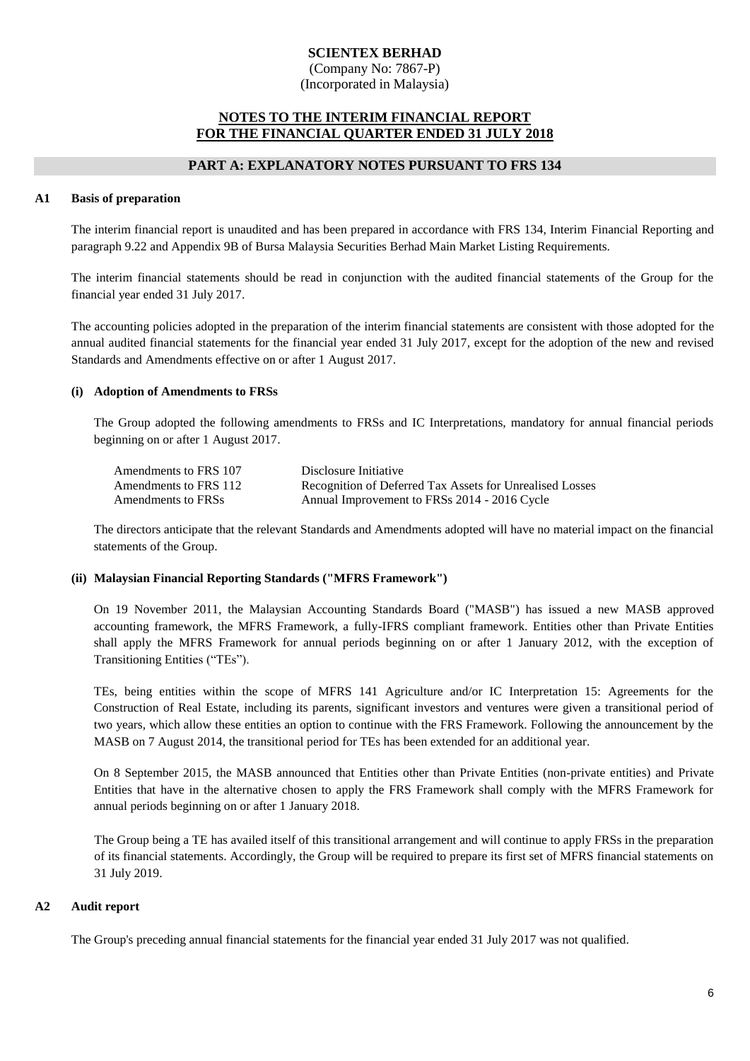(Company No: 7867-P) (Incorporated in Malaysia)

### **NOTES TO THE INTERIM FINANCIAL REPORT FOR THE FINANCIAL QUARTER ENDED 31 JULY 2018**

#### **PART A: EXPLANATORY NOTES PURSUANT TO FRS 134**

#### **A1 Basis of preparation**

The interim financial report is unaudited and has been prepared in accordance with FRS 134, Interim Financial Reporting and paragraph 9.22 and Appendix 9B of Bursa Malaysia Securities Berhad Main Market Listing Requirements.

The interim financial statements should be read in conjunction with the audited financial statements of the Group for the financial year ended 31 July 2017.

The accounting policies adopted in the preparation of the interim financial statements are consistent with those adopted for the annual audited financial statements for the financial year ended 31 July 2017, except for the adoption of the new and revised Standards and Amendments effective on or after 1 August 2017.

#### **(i) Adoption of Amendments to FRSs**

The Group adopted the following amendments to FRSs and IC Interpretations, mandatory for annual financial periods beginning on or after 1 August 2017.

| Amendments to FRS 107 | Disclosure Initiative                                    |
|-----------------------|----------------------------------------------------------|
| Amendments to FRS 112 | Recognition of Deferred Tax Assets for Unrealised Losses |
| Amendments to FRSs    | Annual Improvement to FRSs 2014 - 2016 Cycle             |

The directors anticipate that the relevant Standards and Amendments adopted will have no material impact on the financial statements of the Group.

#### **(ii) Malaysian Financial Reporting Standards ("MFRS Framework")**

On 19 November 2011, the Malaysian Accounting Standards Board ("MASB") has issued a new MASB approved accounting framework, the MFRS Framework, a fully-IFRS compliant framework. Entities other than Private Entities shall apply the MFRS Framework for annual periods beginning on or after 1 January 2012, with the exception of Transitioning Entities ("TEs").

TEs, being entities within the scope of MFRS 141 Agriculture and/or IC Interpretation 15: Agreements for the Construction of Real Estate, including its parents, significant investors and ventures were given a transitional period of two years, which allow these entities an option to continue with the FRS Framework. Following the announcement by the MASB on 7 August 2014, the transitional period for TEs has been extended for an additional year.

On 8 September 2015, the MASB announced that Entities other than Private Entities (non-private entities) and Private Entities that have in the alternative chosen to apply the FRS Framework shall comply with the MFRS Framework for annual periods beginning on or after 1 January 2018.

The Group being a TE has availed itself of this transitional arrangement and will continue to apply FRSs in the preparation of its financial statements. Accordingly, the Group will be required to prepare its first set of MFRS financial statements on 31 July 2019.

#### **A2 Audit report**

The Group's preceding annual financial statements for the financial year ended 31 July 2017 was not qualified.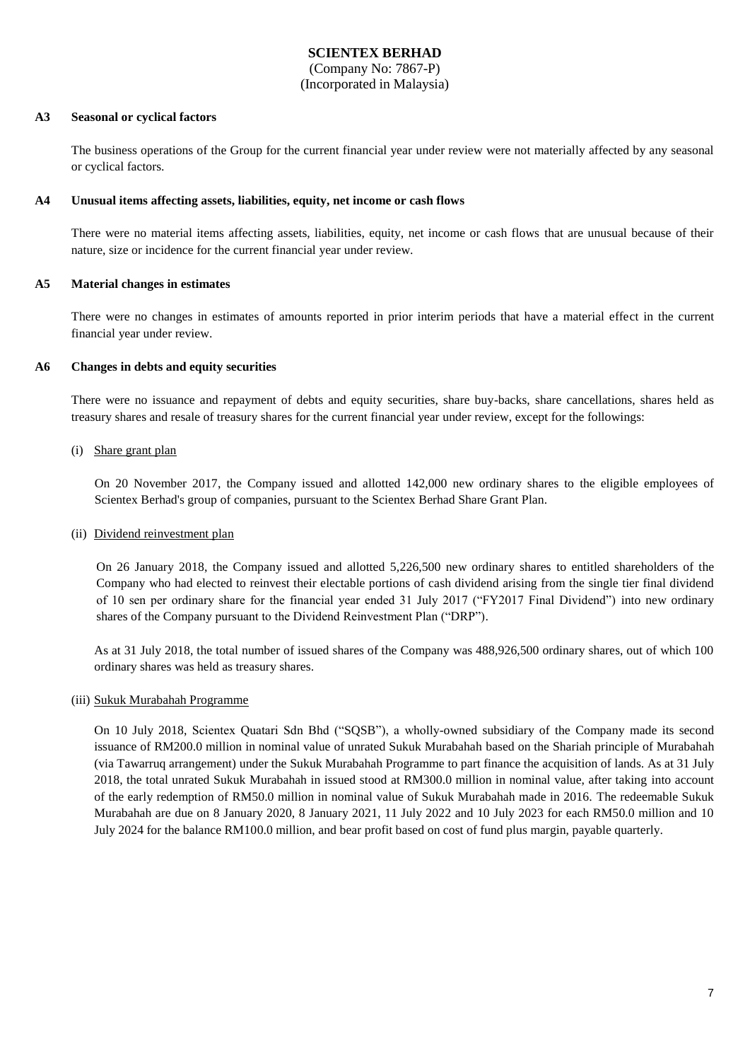(Company No: 7867-P) (Incorporated in Malaysia)

#### **A3 Seasonal or cyclical factors**

The business operations of the Group for the current financial year under review were not materially affected by any seasonal or cyclical factors.

#### **A4 Unusual items affecting assets, liabilities, equity, net income or cash flows**

There were no material items affecting assets, liabilities, equity, net income or cash flows that are unusual because of their nature, size or incidence for the current financial year under review.

### **A5 Material changes in estimates**

There were no changes in estimates of amounts reported in prior interim periods that have a material effect in the current financial year under review.

#### **A6 Changes in debts and equity securities**

There were no issuance and repayment of debts and equity securities, share buy-backs, share cancellations, shares held as treasury shares and resale of treasury shares for the current financial year under review, except for the followings:

(i) Share grant plan

On 20 November 2017, the Company issued and allotted 142,000 new ordinary shares to the eligible employees of Scientex Berhad's group of companies, pursuant to the Scientex Berhad Share Grant Plan.

#### (ii) Dividend reinvestment plan

On 26 January 2018, the Company issued and allotted 5,226,500 new ordinary shares to entitled shareholders of the Company who had elected to reinvest their electable portions of cash dividend arising from the single tier final dividend of 10 sen per ordinary share for the financial year ended 31 July 2017 ("FY2017 Final Dividend") into new ordinary shares of the Company pursuant to the Dividend Reinvestment Plan ("DRP").

As at 31 July 2018, the total number of issued shares of the Company was 488,926,500 ordinary shares, out of which 100 ordinary shares was held as treasury shares.

#### (iii) Sukuk Murabahah Programme

On 10 July 2018, Scientex Quatari Sdn Bhd ("SQSB"), a wholly-owned subsidiary of the Company made its second issuance of RM200.0 million in nominal value of unrated Sukuk Murabahah based on the Shariah principle of Murabahah (via Tawarruq arrangement) under the Sukuk Murabahah Programme to part finance the acquisition of lands. As at 31 July 2018, the total unrated Sukuk Murabahah in issued stood at RM300.0 million in nominal value, after taking into account of the early redemption of RM50.0 million in nominal value of Sukuk Murabahah made in 2016. The redeemable Sukuk Murabahah are due on 8 January 2020, 8 January 2021, 11 July 2022 and 10 July 2023 for each RM50.0 million and 10 July 2024 for the balance RM100.0 million, and bear profit based on cost of fund plus margin, payable quarterly.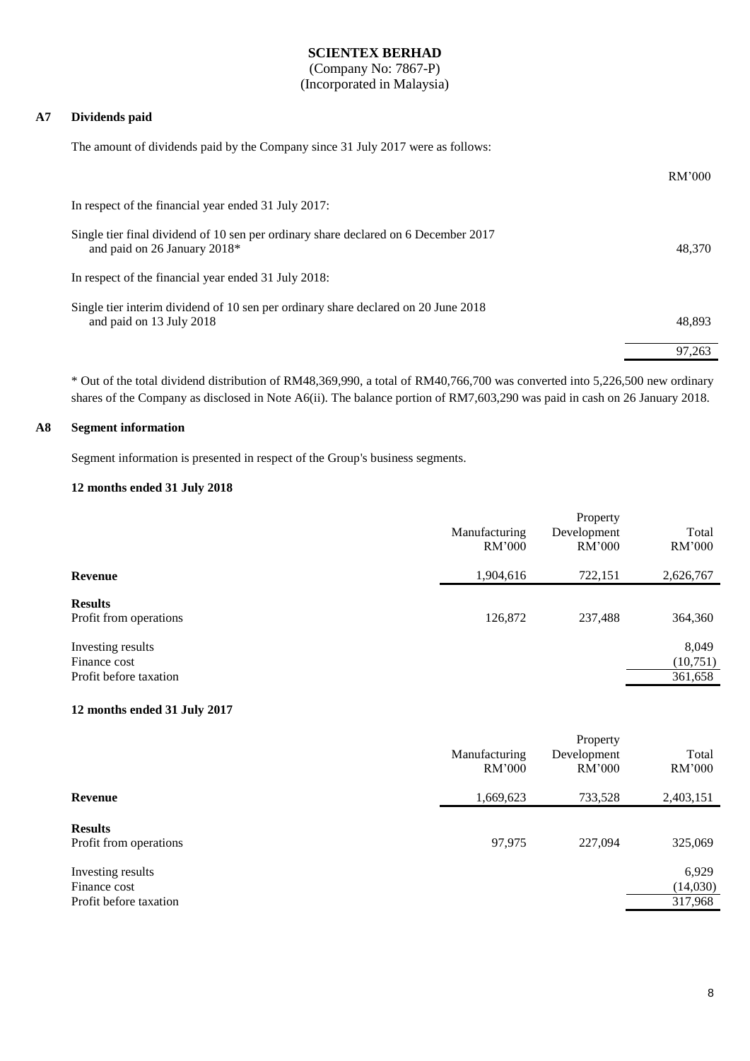(Company No: 7867-P) (Incorporated in Malaysia)

#### **A7 Dividends paid**

The amount of dividends paid by the Company since 31 July 2017 were as follows:

|                                                                                                                     | RM'000 |
|---------------------------------------------------------------------------------------------------------------------|--------|
| In respect of the financial year ended 31 July 2017:                                                                |        |
| Single tier final dividend of 10 sen per ordinary share declared on 6 December 2017<br>and paid on 26 January 2018* | 48,370 |
| In respect of the financial year ended 31 July 2018:                                                                |        |
| Single tier interim dividend of 10 sen per ordinary share declared on 20 June 2018<br>and paid on 13 July 2018      | 48.893 |
|                                                                                                                     | 97,263 |

\* Out of the total dividend distribution of RM48,369,990, a total of RM40,766,700 was converted into 5,226,500 new ordinary shares of the Company as disclosed in Note A6(ii). The balance portion of RM7,603,290 was paid in cash on 26 January 2018.

#### **A8 Segment information**

Segment information is presented in respect of the Group's business segments.

#### **12 months ended 31 July 2018**

|                                                             | Manufacturing<br>RM'000 | Property<br>Development<br>RM'000 | Total<br>RM'000              |
|-------------------------------------------------------------|-------------------------|-----------------------------------|------------------------------|
| Revenue                                                     | 1,904,616               | 722,151                           | 2,626,767                    |
| <b>Results</b><br>Profit from operations                    | 126,872                 | 237,488                           | 364,360                      |
| Investing results<br>Finance cost<br>Profit before taxation |                         |                                   | 8,049<br>(10,751)<br>361,658 |

#### **12 months ended 31 July 2017**

|                                                             | Manufacturing<br>RM'000 | Property<br>Development<br>RM'000 | Total<br>RM'000              |
|-------------------------------------------------------------|-------------------------|-----------------------------------|------------------------------|
| Revenue                                                     | 1,669,623               | 733,528                           | 2,403,151                    |
| <b>Results</b><br>Profit from operations                    | 97,975                  | 227,094                           | 325,069                      |
| Investing results<br>Finance cost<br>Profit before taxation |                         |                                   | 6,929<br>(14,030)<br>317,968 |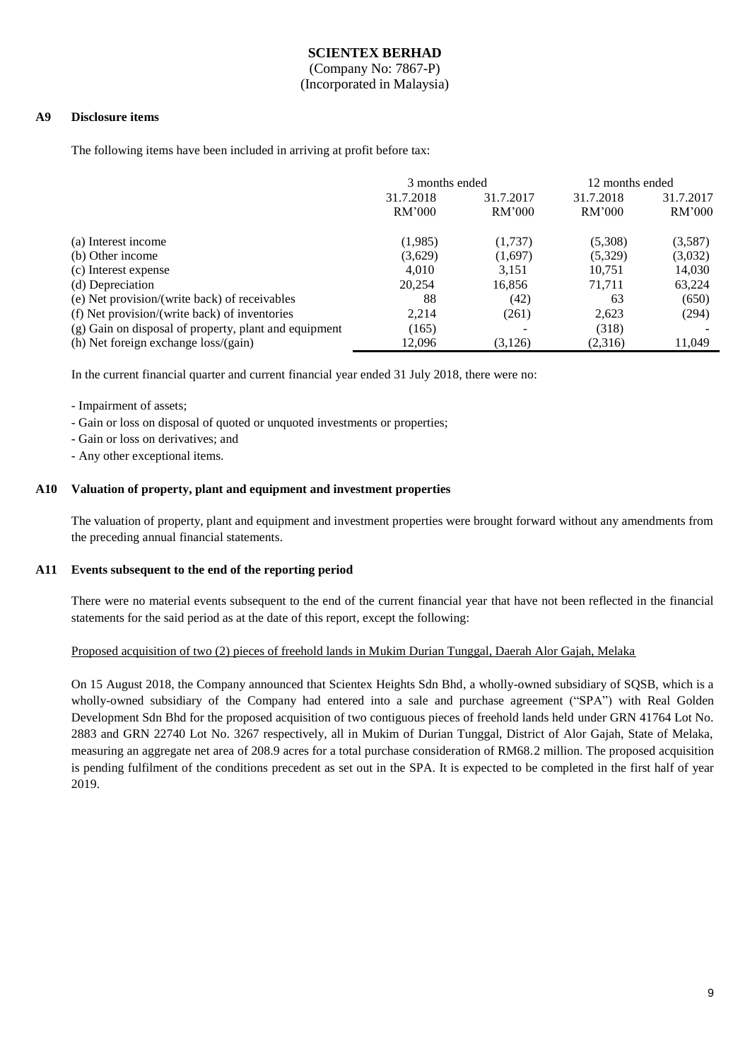(Company No: 7867-P) (Incorporated in Malaysia)

#### **A9 Disclosure items**

The following items have been included in arriving at profit before tax:

|                                                       | 3 months ended |           | 12 months ended |           |
|-------------------------------------------------------|----------------|-----------|-----------------|-----------|
|                                                       | 31.7.2018      | 31.7.2017 | 31.7.2018       | 31.7.2017 |
|                                                       | RM'000         | RM'000    | RM'000          | RM'000    |
| (a) Interest income                                   | (1,985)        | (1,737)   | (5,308)         | (3,587)   |
| (b) Other income                                      | (3,629)        | (1,697)   | (5,329)         | (3,032)   |
| (c) Interest expense                                  | 4.010          | 3,151     | 10,751          | 14,030    |
| (d) Depreciation                                      | 20,254         | 16,856    | 71.711          | 63,224    |
| (e) Net provision/(write back) of receivables         | 88             | (42)      | 63              | (650)     |
| (f) Net provision/(write back) of inventories         | 2.214          | (261)     | 2,623           | (294)     |
| (g) Gain on disposal of property, plant and equipment | (165)          |           | (318)           |           |
| (h) Net foreign exchange loss/(gain)                  | 12.096         | (3,126)   | (2,316)         | 11.049    |

In the current financial quarter and current financial year ended 31 July 2018, there were no:

- Impairment of assets;

- Gain or loss on disposal of quoted or unquoted investments or properties;
- Gain or loss on derivatives; and
- Any other exceptional items.

#### **A10 Valuation of property, plant and equipment and investment properties**

The valuation of property, plant and equipment and investment properties were brought forward without any amendments from the preceding annual financial statements.

#### **A11 Events subsequent to the end of the reporting period**

There were no material events subsequent to the end of the current financial year that have not been reflected in the financial statements for the said period as at the date of this report, except the following:

#### Proposed acquisition of two (2) pieces of freehold lands in Mukim Durian Tunggal, Daerah Alor Gajah, Melaka

On 15 August 2018, the Company announced that Scientex Heights Sdn Bhd, a wholly-owned subsidiary of SQSB, which is a wholly-owned subsidiary of the Company had entered into a sale and purchase agreement ("SPA") with Real Golden Development Sdn Bhd for the proposed acquisition of two contiguous pieces of freehold lands held under GRN 41764 Lot No. 2883 and GRN 22740 Lot No. 3267 respectively, all in Mukim of Durian Tunggal, District of Alor Gajah, State of Melaka, measuring an aggregate net area of 208.9 acres for a total purchase consideration of RM68.2 million. The proposed acquisition is pending fulfilment of the conditions precedent as set out in the SPA. It is expected to be completed in the first half of year 2019.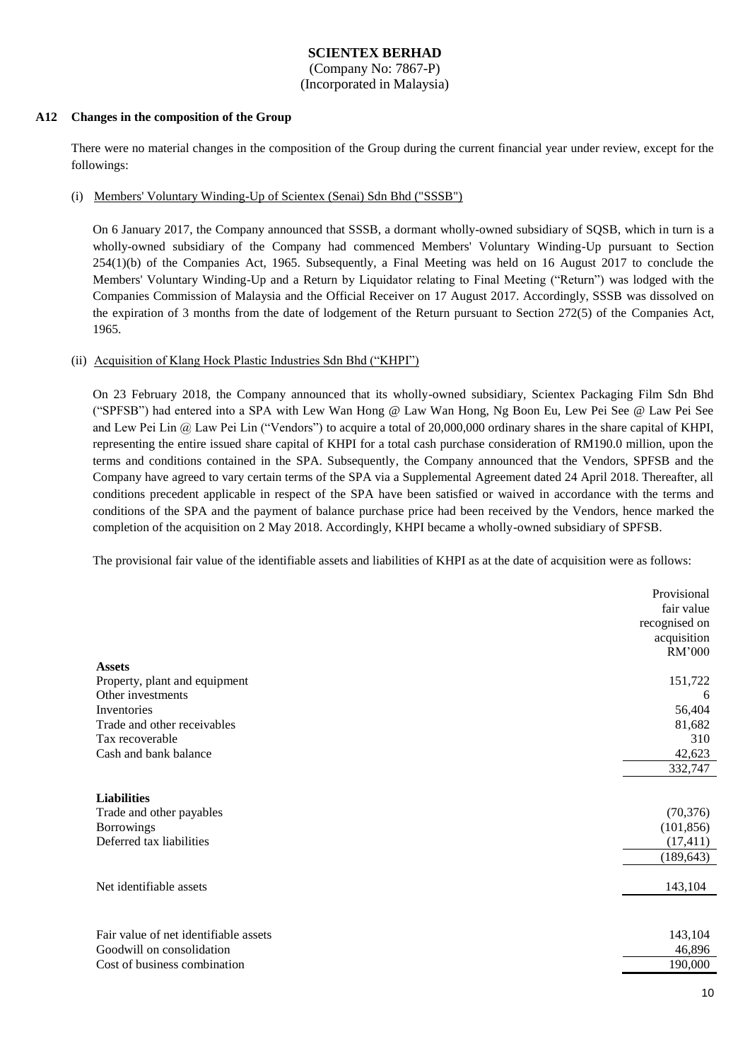(Company No: 7867-P) (Incorporated in Malaysia)

#### **A12 Changes in the composition of the Group**

There were no material changes in the composition of the Group during the current financial year under review, except for the followings:

#### (i) Members' Voluntary Winding-Up of Scientex (Senai) Sdn Bhd ("SSSB")

On 6 January 2017, the Company announced that SSSB, a dormant wholly-owned subsidiary of SQSB, which in turn is a wholly-owned subsidiary of the Company had commenced Members' Voluntary Winding-Up pursuant to Section 254(1)(b) of the Companies Act, 1965. Subsequently, a Final Meeting was held on 16 August 2017 to conclude the Members' Voluntary Winding-Up and a Return by Liquidator relating to Final Meeting ("Return") was lodged with the Companies Commission of Malaysia and the Official Receiver on 17 August 2017. Accordingly, SSSB was dissolved on the expiration of 3 months from the date of lodgement of the Return pursuant to Section 272(5) of the Companies Act, 1965.

#### (ii) Acquisition of Klang Hock Plastic Industries Sdn Bhd ("KHPI")

On 23 February 2018, the Company announced that its wholly-owned subsidiary, Scientex Packaging Film Sdn Bhd ("SPFSB") had entered into a SPA with Lew Wan Hong @ Law Wan Hong, Ng Boon Eu, Lew Pei See @ Law Pei See and Lew Pei Lin @ Law Pei Lin ("Vendors") to acquire a total of 20,000,000 ordinary shares in the share capital of KHPI, representing the entire issued share capital of KHPI for a total cash purchase consideration of RM190.0 million, upon the terms and conditions contained in the SPA. Subsequently, the Company announced that the Vendors, SPFSB and the Company have agreed to vary certain terms of the SPA via a Supplemental Agreement dated 24 April 2018. Thereafter, all conditions precedent applicable in respect of the SPA have been satisfied or waived in accordance with the terms and conditions of the SPA and the payment of balance purchase price had been received by the Vendors, hence marked the completion of the acquisition on 2 May 2018. Accordingly, KHPI became a wholly-owned subsidiary of SPFSB.

The provisional fair value of the identifiable assets and liabilities of KHPI as at the date of acquisition were as follows:

|                                       | Provisional<br>fair value |
|---------------------------------------|---------------------------|
|                                       | recognised on             |
|                                       | acquisition               |
|                                       | RM'000                    |
| <b>Assets</b>                         |                           |
| Property, plant and equipment         | 151,722                   |
| Other investments                     | 6                         |
| Inventories                           | 56,404                    |
| Trade and other receivables           | 81,682                    |
| Tax recoverable                       | 310                       |
| Cash and bank balance                 | 42,623                    |
|                                       | 332,747                   |
|                                       |                           |
| <b>Liabilities</b>                    |                           |
| Trade and other payables              | (70, 376)                 |
| <b>Borrowings</b>                     | (101, 856)                |
| Deferred tax liabilities              | (17, 411)                 |
|                                       | (189, 643)                |
|                                       |                           |
| Net identifiable assets               | 143,104                   |
|                                       |                           |
|                                       |                           |
| Fair value of net identifiable assets | 143,104                   |
| Goodwill on consolidation             | 46,896                    |
| Cost of business combination          | 190,000                   |
|                                       |                           |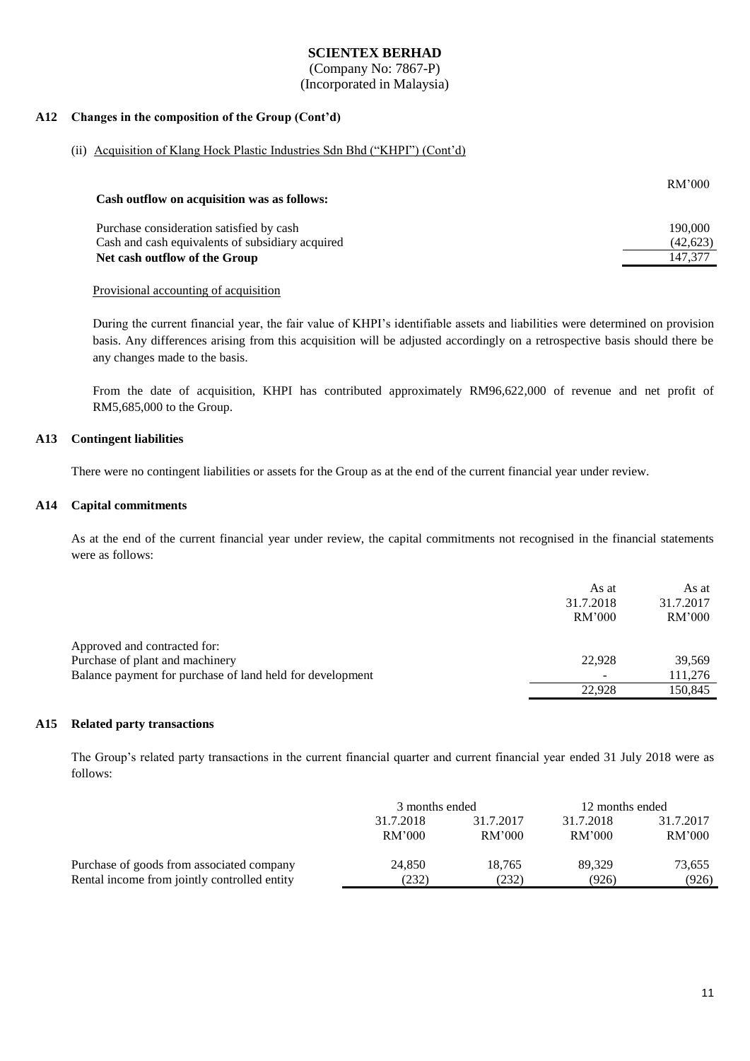(Company No: 7867-P) (Incorporated in Malaysia)

#### **A12 Changes in the composition of the Group (Cont'd)**

#### (ii) Acquisition of Klang Hock Plastic Industries Sdn Bhd ("KHPI") (Cont'd)

| Cash outflow on acquisition was as follows:      | RM'000    |
|--------------------------------------------------|-----------|
| Purchase consideration satisfied by cash         | 190,000   |
| Cash and cash equivalents of subsidiary acquired | (42, 623) |
| Net cash outflow of the Group                    | 147.377   |

#### Provisional accounting of acquisition

During the current financial year, the fair value of KHPI's identifiable assets and liabilities were determined on provision basis. Any differences arising from this acquisition will be adjusted accordingly on a retrospective basis should there be any changes made to the basis.

From the date of acquisition, KHPI has contributed approximately RM96,622,000 of revenue and net profit of RM5,685,000 to the Group.

### **A13 Contingent liabilities**

There were no contingent liabilities or assets for the Group as at the end of the current financial year under review.

#### **A14 Capital commitments**

As at the end of the current financial year under review, the capital commitments not recognised in the financial statements were as follows:

|                                                           | As at<br>31.7.2018<br>RM'000 | As at<br>31.7.2017<br>RM'000 |
|-----------------------------------------------------------|------------------------------|------------------------------|
| Approved and contracted for:                              |                              |                              |
| Purchase of plant and machinery                           | 22.928                       | 39.569                       |
| Balance payment for purchase of land held for development |                              | 111,276                      |
|                                                           | 22.928                       | 150.845                      |
|                                                           |                              |                              |

#### **A15 Related party transactions**

The Group's related party transactions in the current financial quarter and current financial year ended 31 July 2018 were as follows:

|                                              | 3 months ended         |        | 12 months ended |           |
|----------------------------------------------|------------------------|--------|-----------------|-----------|
|                                              | 31.7.2017<br>31.7.2018 |        | 31.7.2018       | 31.7.2017 |
|                                              | RM'000                 | RM'000 | RM'000          | RM'000    |
| Purchase of goods from associated company    | 24,850                 | 18.765 | 89.329          | 73,655    |
| Rental income from jointly controlled entity | (232)                  | (232)  | (926)           | (926)     |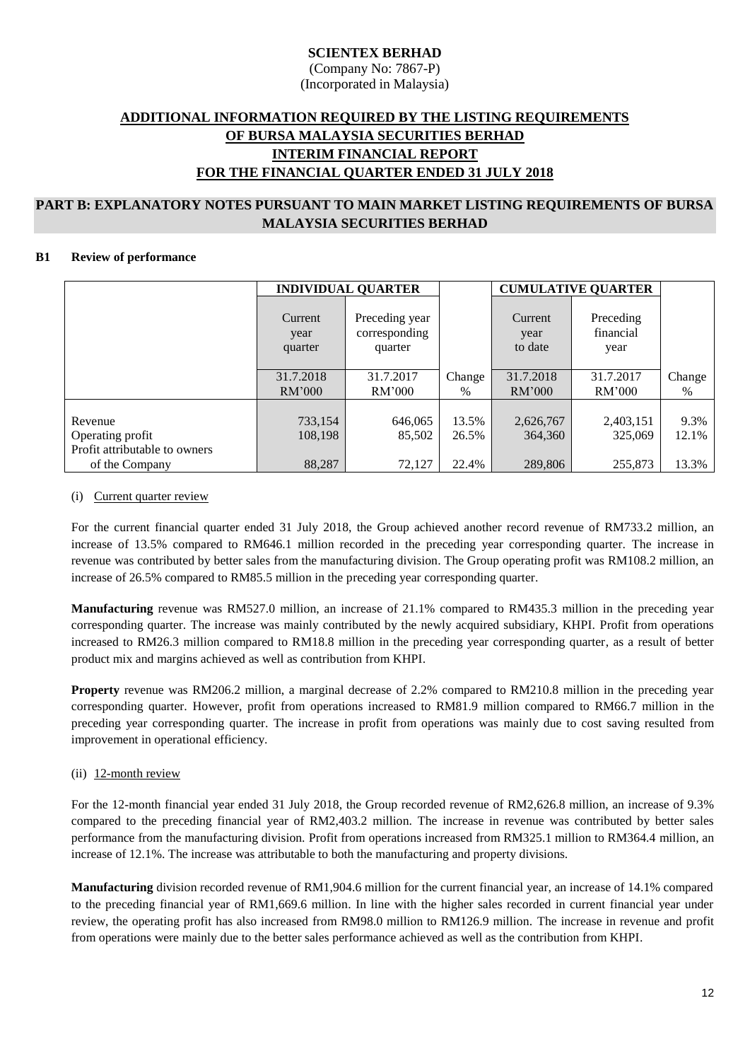(Company No: 7867-P) (Incorporated in Malaysia)

## **ADDITIONAL INFORMATION REQUIRED BY THE LISTING REQUIREMENTS OF BURSA MALAYSIA SECURITIES BERHAD INTERIM FINANCIAL REPORT FOR THE FINANCIAL QUARTER ENDED 31 JULY 2018**

### **PART B: EXPLANATORY NOTES PURSUANT TO MAIN MARKET LISTING REQUIREMENTS OF BURSA MALAYSIA SECURITIES BERHAD**

### **B1 Review of performance**

|                                                              |                            | <b>CUMULATIVE QUARTER</b><br><b>INDIVIDUAL QUARTER</b> |                |                            |                                |               |
|--------------------------------------------------------------|----------------------------|--------------------------------------------------------|----------------|----------------------------|--------------------------------|---------------|
|                                                              | Current<br>year<br>quarter | Preceding year<br>corresponding<br>quarter             |                | Current<br>year<br>to date | Preceding<br>financial<br>year |               |
|                                                              | 31.7.2018<br>RM'000        | 31.7.2017<br>RM'000                                    | Change<br>$\%$ | 31.7.2018<br>RM'000        | 31.7.2017<br>RM'000            | Change<br>%   |
| Revenue<br>Operating profit<br>Profit attributable to owners | 733,154<br>108,198         | 646,065<br>85,502                                      | 13.5%<br>26.5% | 2,626,767<br>364,360       | 2,403,151<br>325,069           | 9.3%<br>12.1% |
| of the Company                                               | 88,287                     | 72,127                                                 | 22.4%          | 289,806                    | 255,873                        | 13.3%         |

#### (i) Current quarter review

For the current financial quarter ended 31 July 2018, the Group achieved another record revenue of RM733.2 million, an increase of 13.5% compared to RM646.1 million recorded in the preceding year corresponding quarter. The increase in revenue was contributed by better sales from the manufacturing division. The Group operating profit was RM108.2 million, an increase of 26.5% compared to RM85.5 million in the preceding year corresponding quarter.

**Manufacturing** revenue was RM527.0 million, an increase of 21.1% compared to RM435.3 million in the preceding year corresponding quarter. The increase was mainly contributed by the newly acquired subsidiary, KHPI. Profit from operations increased to RM26.3 million compared to RM18.8 million in the preceding year corresponding quarter, as a result of better product mix and margins achieved as well as contribution from KHPI.

**Property** revenue was RM206.2 million, a marginal decrease of 2.2% compared to RM210.8 million in the preceding year corresponding quarter. However, profit from operations increased to RM81.9 million compared to RM66.7 million in the preceding year corresponding quarter. The increase in profit from operations was mainly due to cost saving resulted from improvement in operational efficiency.

### (ii) 12-month review

For the 12-month financial year ended 31 July 2018, the Group recorded revenue of RM2,626.8 million, an increase of 9.3% compared to the preceding financial year of RM2,403.2 million. The increase in revenue was contributed by better sales performance from the manufacturing division. Profit from operations increased from RM325.1 million to RM364.4 million, an increase of 12.1%. The increase was attributable to both the manufacturing and property divisions.

**Manufacturing** division recorded revenue of RM1,904.6 million for the current financial year, an increase of 14.1% compared to the preceding financial year of RM1,669.6 million. In line with the higher sales recorded in current financial year under review, the operating profit has also increased from RM98.0 million to RM126.9 million. The increase in revenue and profit from operations were mainly due to the better sales performance achieved as well as the contribution from KHPI.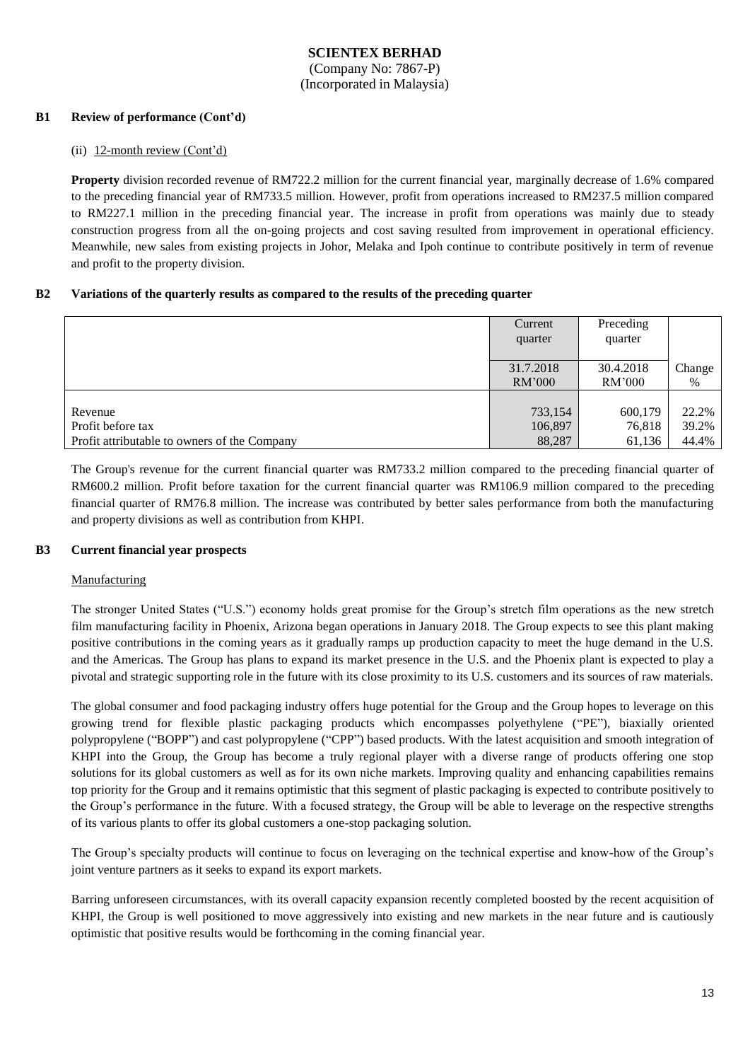(Company No: 7867-P) (Incorporated in Malaysia)

### **B1 Review of performance (Cont'd)**

#### (ii) 12-month review (Cont'd)

**Property** division recorded revenue of RM722.2 million for the current financial year, marginally decrease of 1.6% compared to the preceding financial year of RM733.5 million. However, profit from operations increased to RM237.5 million compared to RM227.1 million in the preceding financial year. The increase in profit from operations was mainly due to steady construction progress from all the on-going projects and cost saving resulted from improvement in operational efficiency. Meanwhile, new sales from existing projects in Johor, Melaka and Ipoh continue to contribute positively in term of revenue and profit to the property division.

#### **B2 Variations of the quarterly results as compared to the results of the preceding quarter**

|                                              | Current<br>quarter | Preceding<br>quarter |        |
|----------------------------------------------|--------------------|----------------------|--------|
|                                              | 31.7.2018          | 30.4.2018            | Change |
|                                              | RM'000             | RM'000               | $\%$   |
| Revenue                                      | 733,154            | 600,179              | 22.2%  |
| Profit before tax                            | 106,897            | 76,818               | 39.2%  |
| Profit attributable to owners of the Company | 88,287             | 61,136               | 44.4%  |

The Group's revenue for the current financial quarter was RM733.2 million compared to the preceding financial quarter of RM600.2 million. Profit before taxation for the current financial quarter was RM106.9 million compared to the preceding financial quarter of RM76.8 million. The increase was contributed by better sales performance from both the manufacturing and property divisions as well as contribution from KHPI.

### **B3 Current financial year prospects**

#### Manufacturing

The stronger United States ("U.S.") economy holds great promise for the Group's stretch film operations as the new stretch film manufacturing facility in Phoenix, Arizona began operations in January 2018. The Group expects to see this plant making positive contributions in the coming years as it gradually ramps up production capacity to meet the huge demand in the U.S. and the Americas. The Group has plans to expand its market presence in the U.S. and the Phoenix plant is expected to play a pivotal and strategic supporting role in the future with its close proximity to its U.S. customers and its sources of raw materials.

The global consumer and food packaging industry offers huge potential for the Group and the Group hopes to leverage on this growing trend for flexible plastic packaging products which encompasses polyethylene ("PE"), biaxially oriented polypropylene ("BOPP") and cast polypropylene ("CPP") based products. With the latest acquisition and smooth integration of KHPI into the Group, the Group has become a truly regional player with a diverse range of products offering one stop solutions for its global customers as well as for its own niche markets. Improving quality and enhancing capabilities remains top priority for the Group and it remains optimistic that this segment of plastic packaging is expected to contribute positively to the Group's performance in the future. With a focused strategy, the Group will be able to leverage on the respective strengths of its various plants to offer its global customers a one-stop packaging solution.

The Group's specialty products will continue to focus on leveraging on the technical expertise and know-how of the Group's joint venture partners as it seeks to expand its export markets.

Barring unforeseen circumstances, with its overall capacity expansion recently completed boosted by the recent acquisition of KHPI, the Group is well positioned to move aggressively into existing and new markets in the near future and is cautiously optimistic that positive results would be forthcoming in the coming financial year.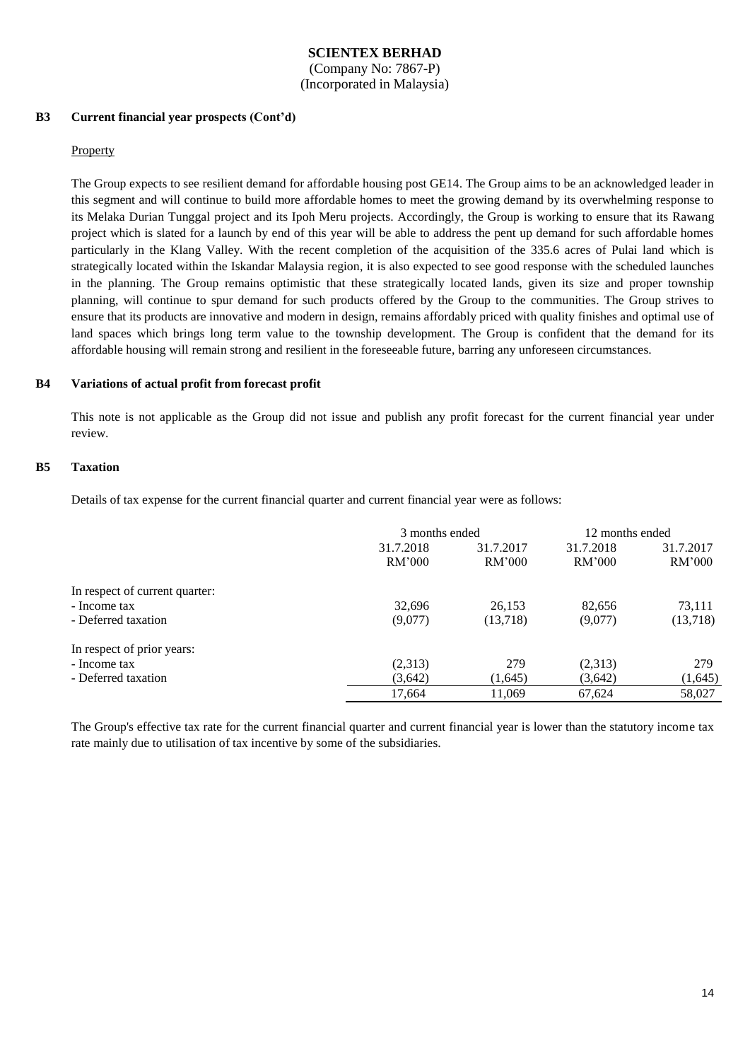(Company No: 7867-P) (Incorporated in Malaysia)

#### **B3 Current financial year prospects (Cont'd)**

#### Property

The Group expects to see resilient demand for affordable housing post GE14. The Group aims to be an acknowledged leader in this segment and will continue to build more affordable homes to meet the growing demand by its overwhelming response to its Melaka Durian Tunggal project and its Ipoh Meru projects. Accordingly, the Group is working to ensure that its Rawang project which is slated for a launch by end of this year will be able to address the pent up demand for such affordable homes particularly in the Klang Valley. With the recent completion of the acquisition of the 335.6 acres of Pulai land which is strategically located within the Iskandar Malaysia region, it is also expected to see good response with the scheduled launches in the planning. The Group remains optimistic that these strategically located lands, given its size and proper township planning, will continue to spur demand for such products offered by the Group to the communities. The Group strives to ensure that its products are innovative and modern in design, remains affordably priced with quality finishes and optimal use of land spaces which brings long term value to the township development. The Group is confident that the demand for its affordable housing will remain strong and resilient in the foreseeable future, barring any unforeseen circumstances.

#### **B4 Variations of actual profit from forecast profit**

This note is not applicable as the Group did not issue and publish any profit forecast for the current financial year under review.

#### **B5 Taxation**

Details of tax expense for the current financial quarter and current financial year were as follows:

|                                | 3 months ended |           | 12 months ended |           |
|--------------------------------|----------------|-----------|-----------------|-----------|
|                                | 31.7.2018      | 31.7.2017 | 31.7.2018       | 31.7.2017 |
|                                | RM'000         | RM'000    | RM'000          | RM'000    |
| In respect of current quarter: |                |           |                 |           |
| - Income tax                   | 32,696         | 26,153    | 82,656          | 73,111    |
| - Deferred taxation            | (9,077)        | (13,718)  | (9,077)         | (13,718)  |
| In respect of prior years:     |                |           |                 |           |
| - Income tax                   | (2,313)        | 279       | (2,313)         | 279       |
| - Deferred taxation            | (3,642)        | (1,645)   | (3,642)         | (1,645)   |
|                                | 17,664         | 11,069    | 67,624          | 58,027    |

The Group's effective tax rate for the current financial quarter and current financial year is lower than the statutory income tax rate mainly due to utilisation of tax incentive by some of the subsidiaries.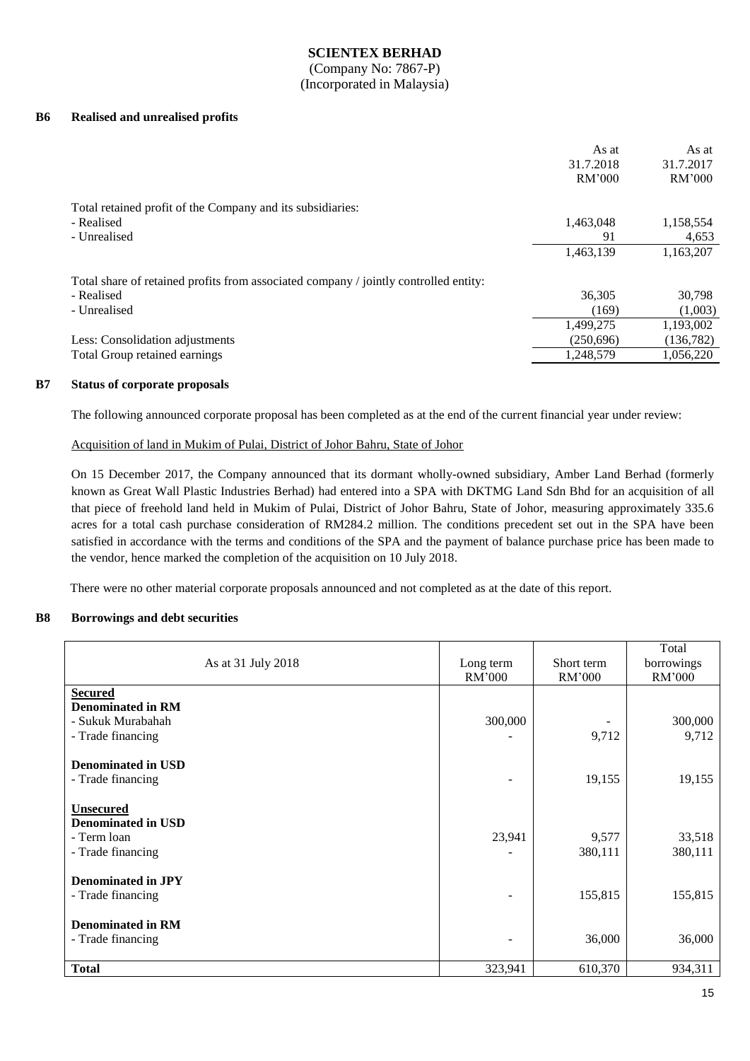(Company No: 7867-P) (Incorporated in Malaysia)

#### **B6 Realised and unrealised profits**

|                                                                                      | As at<br>31.7.2018<br>RM'000 | As at<br>31.7.2017<br>RM'000 |
|--------------------------------------------------------------------------------------|------------------------------|------------------------------|
| Total retained profit of the Company and its subsidiaries:                           |                              |                              |
| - Realised                                                                           | 1,463,048                    | 1,158,554                    |
| - Unrealised                                                                         | 91                           | 4,653                        |
|                                                                                      | 1,463,139                    | 1,163,207                    |
| Total share of retained profits from associated company / jointly controlled entity: |                              |                              |
| - Realised                                                                           | 36,305                       | 30,798                       |
| - Unrealised                                                                         | (169)                        | (1,003)                      |
|                                                                                      | 1,499,275                    | 1,193,002                    |
| Less: Consolidation adjustments                                                      | (250,696)                    | (136, 782)                   |
| Total Group retained earnings                                                        | 1,248,579                    | 1,056,220                    |

#### **B7 Status of corporate proposals**

The following announced corporate proposal has been completed as at the end of the current financial year under review:

#### Acquisition of land in Mukim of Pulai, District of Johor Bahru, State of Johor

On 15 December 2017, the Company announced that its dormant wholly-owned subsidiary, Amber Land Berhad (formerly known as Great Wall Plastic Industries Berhad) had entered into a SPA with DKTMG Land Sdn Bhd for an acquisition of all that piece of freehold land held in Mukim of Pulai, District of Johor Bahru, State of Johor, measuring approximately 335.6 acres for a total cash purchase consideration of RM284.2 million. The conditions precedent set out in the SPA have been satisfied in accordance with the terms and conditions of the SPA and the payment of balance purchase price has been made to the vendor, hence marked the completion of the acquisition on 10 July 2018.

There were no other material corporate proposals announced and not completed as at the date of this report.

#### **B8 Borrowings and debt securities**

| As at 31 July 2018                                                                   | Long term<br>RM'000 | Short term<br>RM'000 | Total<br>borrowings<br>RM'000 |
|--------------------------------------------------------------------------------------|---------------------|----------------------|-------------------------------|
| <b>Secured</b><br><b>Denominated in RM</b><br>- Sukuk Murabahah<br>- Trade financing | 300,000             | 9,712                | 300,000<br>9,712              |
| <b>Denominated in USD</b><br>- Trade financing                                       |                     | 19,155               | 19,155                        |
| <b>Unsecured</b><br><b>Denominated in USD</b><br>- Term loan<br>- Trade financing    | 23,941              | 9,577<br>380,111     | 33,518<br>380,111             |
| <b>Denominated in JPY</b><br>- Trade financing                                       |                     | 155,815              | 155,815                       |
| <b>Denominated in RM</b><br>- Trade financing                                        |                     | 36,000               | 36,000                        |
| <b>Total</b>                                                                         | 323,941             | 610,370              | 934,311                       |